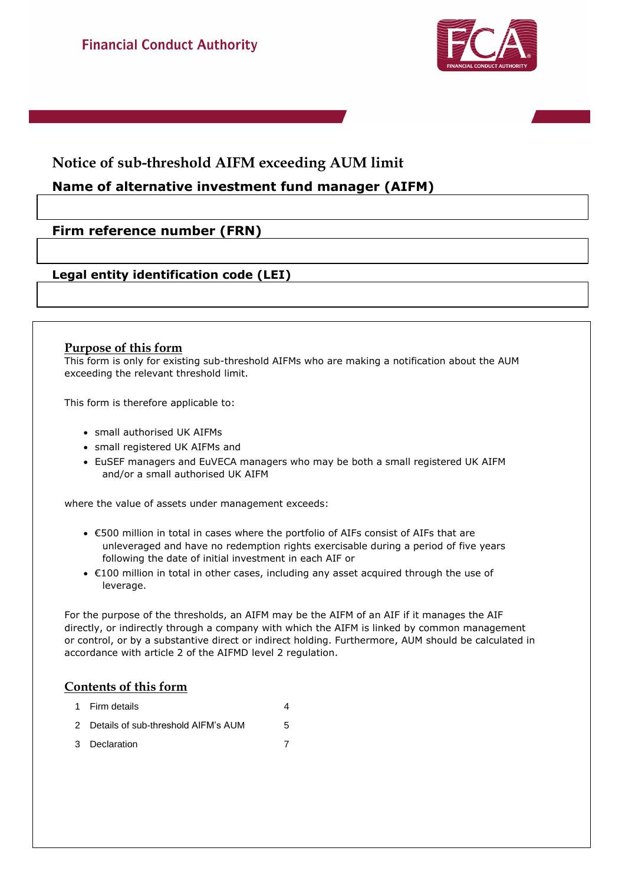



# **Notice of sub-threshold AIFM exceeding AUM limit**

# **Name of alternative investment fund manager (AIFM)**

# **Firm reference number (FRN)**

## **Legal entity identification code (LEI)**

## **Purpose of this form**

This form is only for existing sub-threshold AIFMs who are making a notification about the AUM exceeding the relevant threshold limit.

This form is therefore applicable to:

- small authorised UK AIFMs
- small registered UK AIFMs and
- EuSEF managers and EuVECA managers who may be both a small registered UK AIFM and/or a small authorised UK AIFM

where the value of assets under management exceeds:

- €500 million in total in cases where the portfolio of AIFs consist of AIFs that are unleveraged and have no redemption rights exercisable during a period of five years following the date of initial investment in each AIF or
- €100 million in total in other cases, including any asset acquired through the use of leverage.

For the purpose of the thresholds, an AIFM may be the AIFM of an AIF if it manages the AIF directly, or indirectly through a company with which the AIFM is linked by common management or control, or by a substantive direct or indirect holding. Furthermore, AUM should be calculated in accordance with article 2 of the AIFMD level 2 regulation.

## **Contents of this form**

- 1 Firm details 4 2 Details of sub-threshold AIFM's AUM 5
- 3 Declaration 7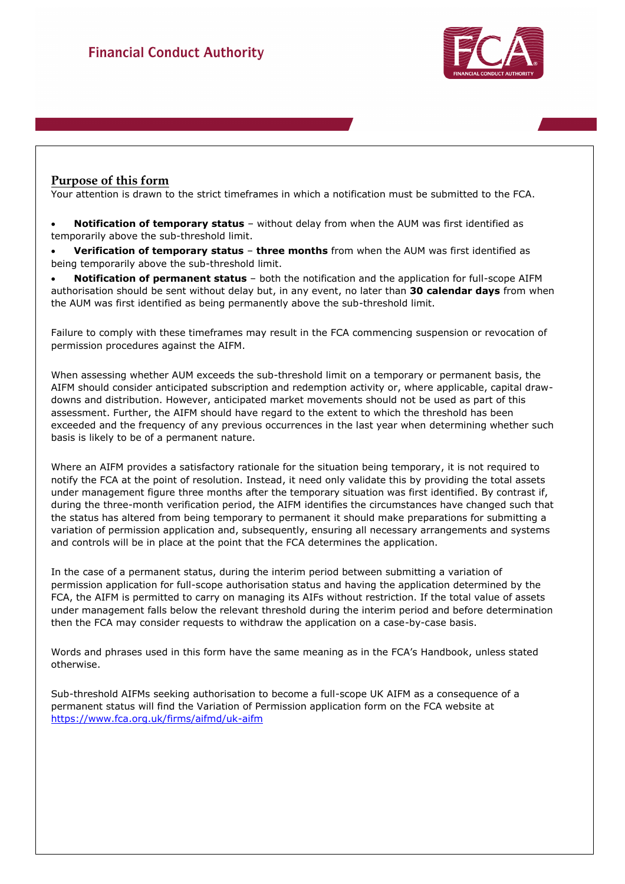

## **Purpose of this form**

Your attention is drawn to the strict timeframes in which a notification must be submitted to the FCA.

 **Notification of temporary status** – without delay from when the AUM was first identified as temporarily above the sub-threshold limit.

 **Verification of temporary status** – **three months** from when the AUM was first identified as being temporarily above the sub-threshold limit.

 **Notification of permanent status** – both the notification and the application for full-scope AIFM authorisation should be sent without delay but, in any event, no later than **30 calendar days** from when the AUM was first identified as being permanently above the sub-threshold limit.

Failure to comply with these timeframes may result in the FCA commencing suspension or revocation of permission procedures against the AIFM.

When assessing whether AUM exceeds the sub-threshold limit on a temporary or permanent basis, the AIFM should consider anticipated subscription and redemption activity or, where applicable, capital drawdowns and distribution. However, anticipated market movements should not be used as part of this assessment. Further, the AIFM should have regard to the extent to which the threshold has been exceeded and the frequency of any previous occurrences in the last year when determining whether such basis is likely to be of a permanent nature.

Where an AIFM provides a satisfactory rationale for the situation being temporary, it is not required to notify the FCA at the point of resolution. Instead, it need only validate this by providing the total assets under management figure three months after the temporary situation was first identified. By contrast if, during the three-month verification period, the AIFM identifies the circumstances have changed such that the status has altered from being temporary to permanent it should make preparations for submitting a variation of permission application and, subsequently, ensuring all necessary arrangements and systems and controls will be in place at the point that the FCA determines the application.

In the case of a permanent status, during the interim period between submitting a variation of permission application for full-scope authorisation status and having the application determined by the FCA, the AIFM is permitted to carry on managing its AIFs without restriction. If the total value of assets under management falls below the relevant threshold during the interim period and before determination then the FCA may consider requests to withdraw the application on a case-by-case basis.

Words and phrases used in this form have the same meaning as in the FCA's Handbook, unless stated otherwise.

Sub-threshold AIFMs seeking authorisation to become a full-scope UK AIFM as a consequence of a permanent status will find the Variation of Permission application form on the FCA website at https://www.fca.org.uk/firms/aifmd/uk-aifm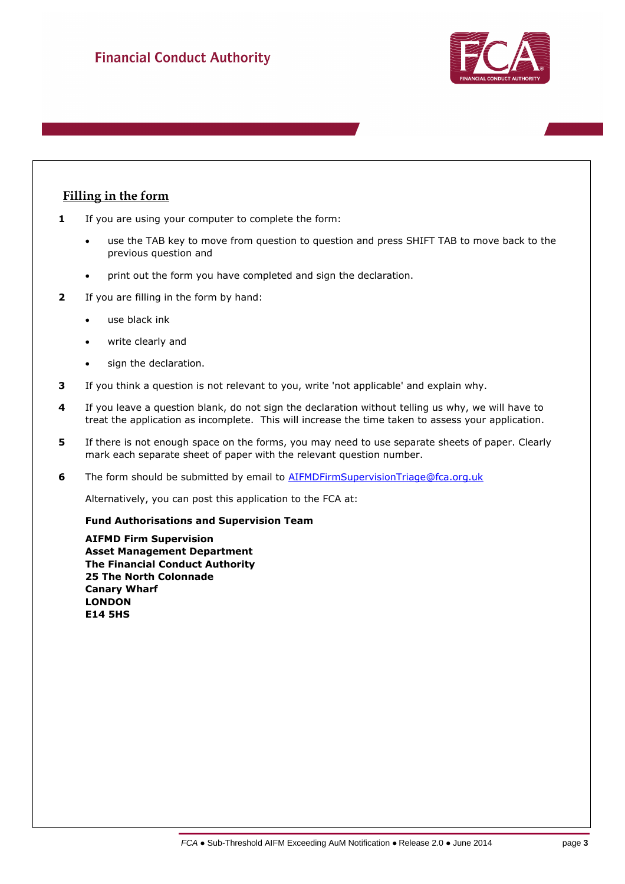

## **Filling in the form**

- **1** If you are using your computer to complete the form:
	- use the TAB key to move from question to question and press SHIFT TAB to move back to the previous question and
	- print out the form you have completed and sign the declaration.
- **2** If you are filling in the form by hand:
	- use black ink
	- write clearly and
	- sign the declaration.
- **3** If you think a question is not relevant to you, write 'not applicable' and explain why.
- **4** If you leave a question blank, do not sign the declaration without telling us why, we will have to treat the application as incomplete. This will increase the time taken to assess your application.
- **5** If there is not enough space on the forms, you may need to use separate sheets of paper. Clearly mark each separate sheet of paper with the relevant question number.
- **6** The form should be submitted by email to AIFMDFirmSupervisionTriage@fca.org.uk

Alternatively, you can post this application to the FCA at:

### **Fund Authorisations and Supervision Team**

**AIFMD Firm Supervision Asset Management Department The Financial Conduct Authority 25 The North Colonnade Canary Wharf LONDON E14 5HS**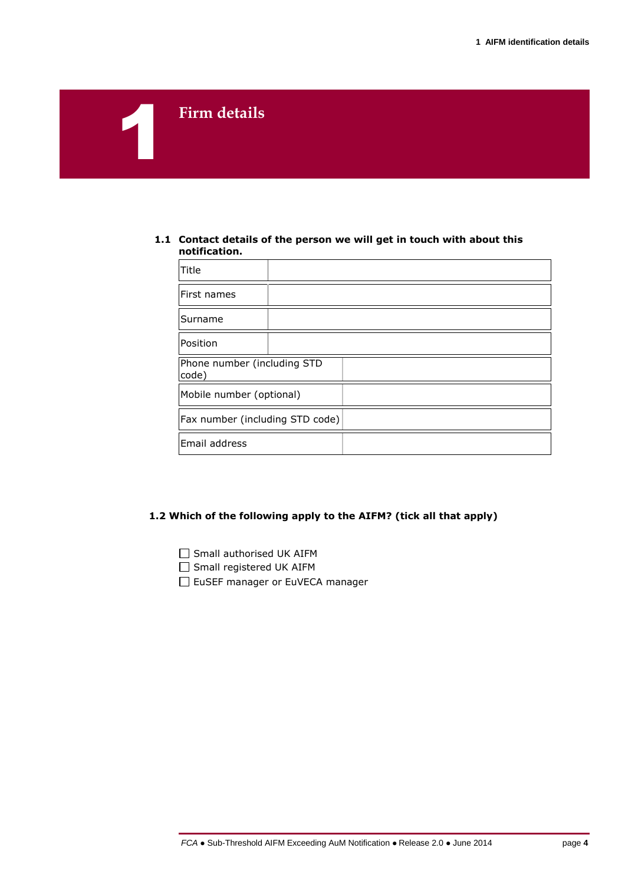# **Firm details**

1

#### **1.1 Contact details of the person we will get in touch with about this notification.**

| Title                                |  |  |
|--------------------------------------|--|--|
| First names                          |  |  |
| Surname                              |  |  |
| Position                             |  |  |
| Phone number (including STD<br>code) |  |  |
| Mobile number (optional)             |  |  |
| Fax number (including STD code)      |  |  |
| Email address                        |  |  |

## **1.2 Which of the following apply to the AIFM? (tick all that apply)**

□ Small authorised UK AIFM

□ Small registered UK AIFM

EuSEF manager or EuVECA manager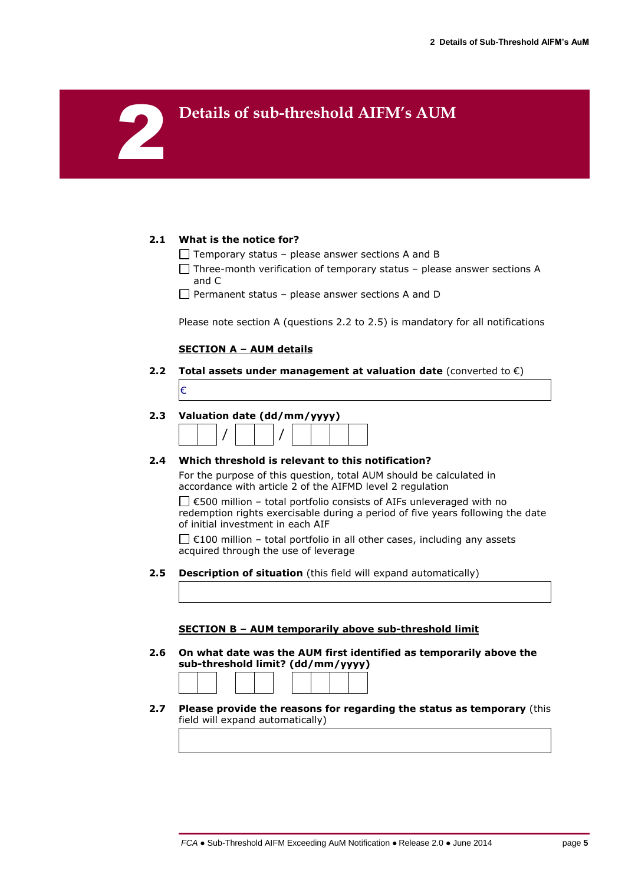# **Details of sub-threshold AIFM's AUM**

### **2.1 What is the notice for?**

2

- $\Box$  Temporary status please answer sections A and B
- $\Box$  Three-month verification of temporary status please answer sections A and C
- $\Box$  Permanent status please answer sections A and D

Please note section A (questions 2.2 to 2.5) is mandatory for all notifications

## **SECTION A – AUM details**

**2.2 Total assets under management at valuation date** (converted to €) €

## **2.3 Valuation date (dd/mm/yyyy)**



### **2.4 Which threshold is relevant to this notification?**

For the purpose of this question, total AUM should be calculated in accordance with article 2 of the AIFMD level 2 regulation

 $□$  €500 million – total portfolio consists of AIFs unleveraged with no redemption rights exercisable during a period of five years following the date of initial investment in each AIF

 $\Box$  €100 million – total portfolio in all other cases, including any assets acquired through the use of leverage

**2.5 Description of situation** (this field will expand automatically)

#### **SECTION B – AUM temporarily above sub-threshold limit**

**2.6 On what date was the AUM first identified as temporarily above the sub-threshold limit? (dd/mm/yyyy)**



**2.7 Please provide the reasons for regarding the status as temporary** (this field will expand automatically)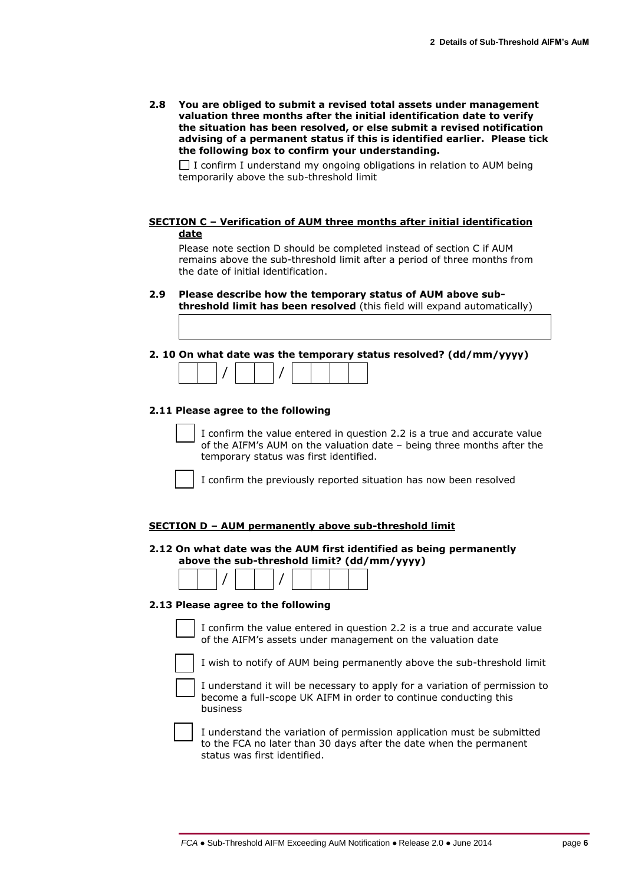**2.8 You are obliged to submit a revised total assets under management valuation three months after the initial identification date to verify the situation has been resolved, or else submit a revised notification advising of a permanent status if this is identified earlier. Please tick the following box to confirm your understanding.**

 $\Box$  I confirm I understand my ongoing obligations in relation to AUM being temporarily above the sub-threshold limit

**SECTION C – Verification of AUM three months after initial identification date**

Please note section D should be completed instead of section C if AUM remains above the sub-threshold limit after a period of three months from the date of initial identification.

- **2.9 Please describe how the temporary status of AUM above subthreshold limit has been resolved** (this field will expand automatically)
- **2. 10 On what date was the temporary status resolved? (dd/mm/yyyy)**

|--|--|--|--|--|--|--|--|--|

#### **2.11 Please agree to the following**

I confirm the value entered in question 2.2 is a true and accurate value of the AIFM's AUM on the valuation date – being three months after the temporary status was first identified.

I confirm the previously reported situation has now been resolved

#### **SECTION D – AUM permanently above sub-threshold limit**

**2.12 On what date was the AUM first identified as being permanently above the sub-threshold limit? (dd/mm/yyyy)**

|--|--|--|--|--|--|--|

#### **2.13 Please agree to the following**

I confirm the value entered in question 2.2 is a true and accurate value of the AIFM's assets under management on the valuation date

I wish to notify of AUM being permanently above the sub-threshold limit

I understand it will be necessary to apply for a variation of permission to become a full-scope UK AIFM in order to continue conducting this business

I understand the variation of permission application must be submitted to the FCA no later than 30 days after the date when the permanent status was first identified.